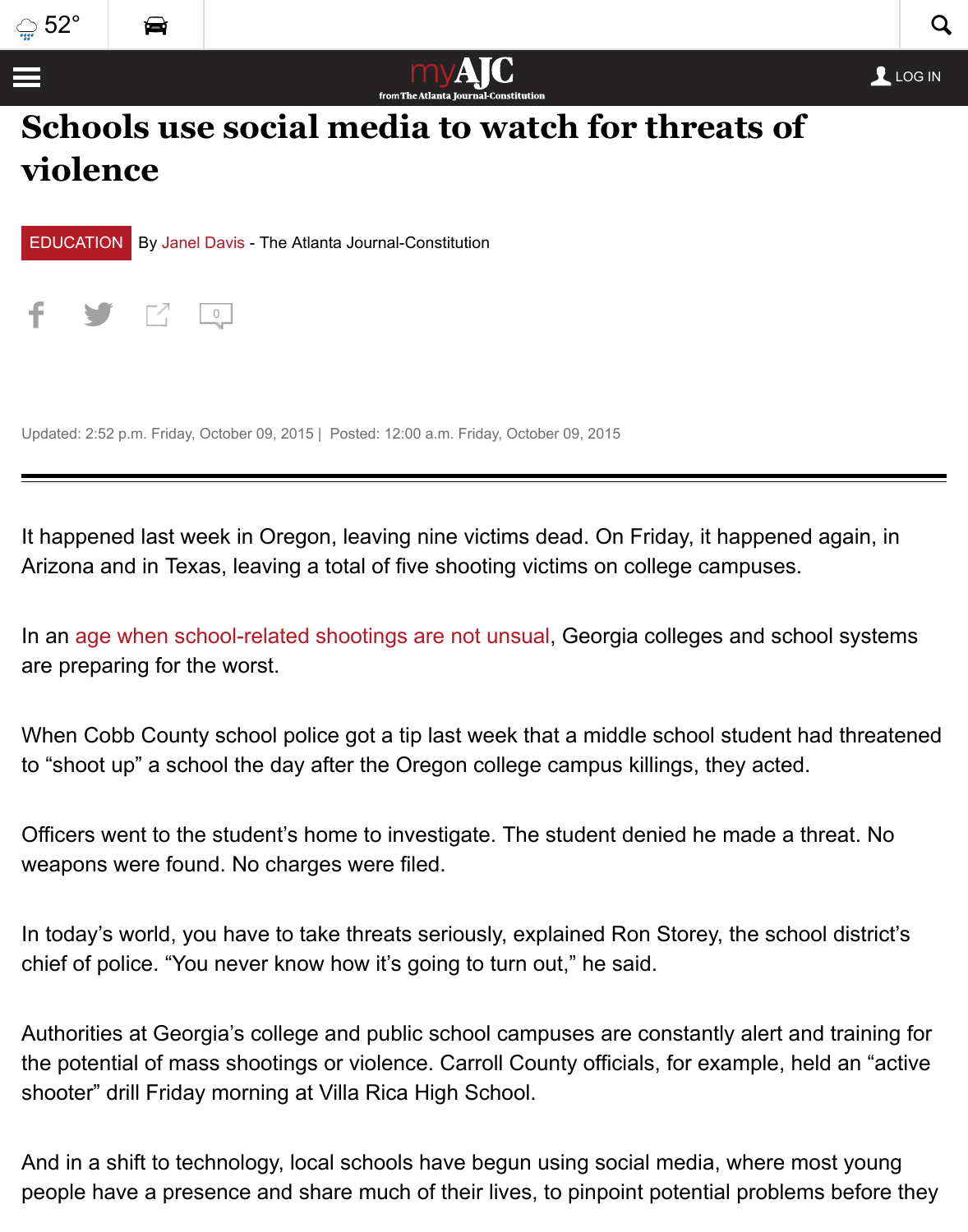#### **[viole](https://www.myajc.com/weather/)[nce](https://www.ajc.com/traffic/)**



 $\hfill$ 

[Updated: 2:52 p.m](https://www.myajc.com/education). Friday, October 09, 2015 | Posted: 12:00 a.m. Friday, October 09, 2015

It happened last week in Oregon, leaving nine victims dead. On Friday, it happened a Arizona and in Texas, leaving a total of five shooting victims on college campuses.

In an age when school-related shootings are not unsual, Georgia colleges and school are preparing for the worst.

When Cobb County school police got a tip last week that a middle school student ha to "shoot up" a school the day after the Oregon college campus killings, they acted.

Officers went to the student's home to investigate. The student denied he made a thi weapons were found. No charges were filed.

In today's world, you have to take threats seriously, explained Ron Storey, the school chief of police. "You never know how it's going to turn out," he said.

Authorities at Georgia's college and public school campuses are constantly alert and the potential of mass shootings or violence. Carroll County officials, for example, held shooter" drill Friday morning at Villa Rica High School.

And in a shift to technology, local schools have begun using social media, where mo people have a presence and share much of their lives, to pinpoint potential problems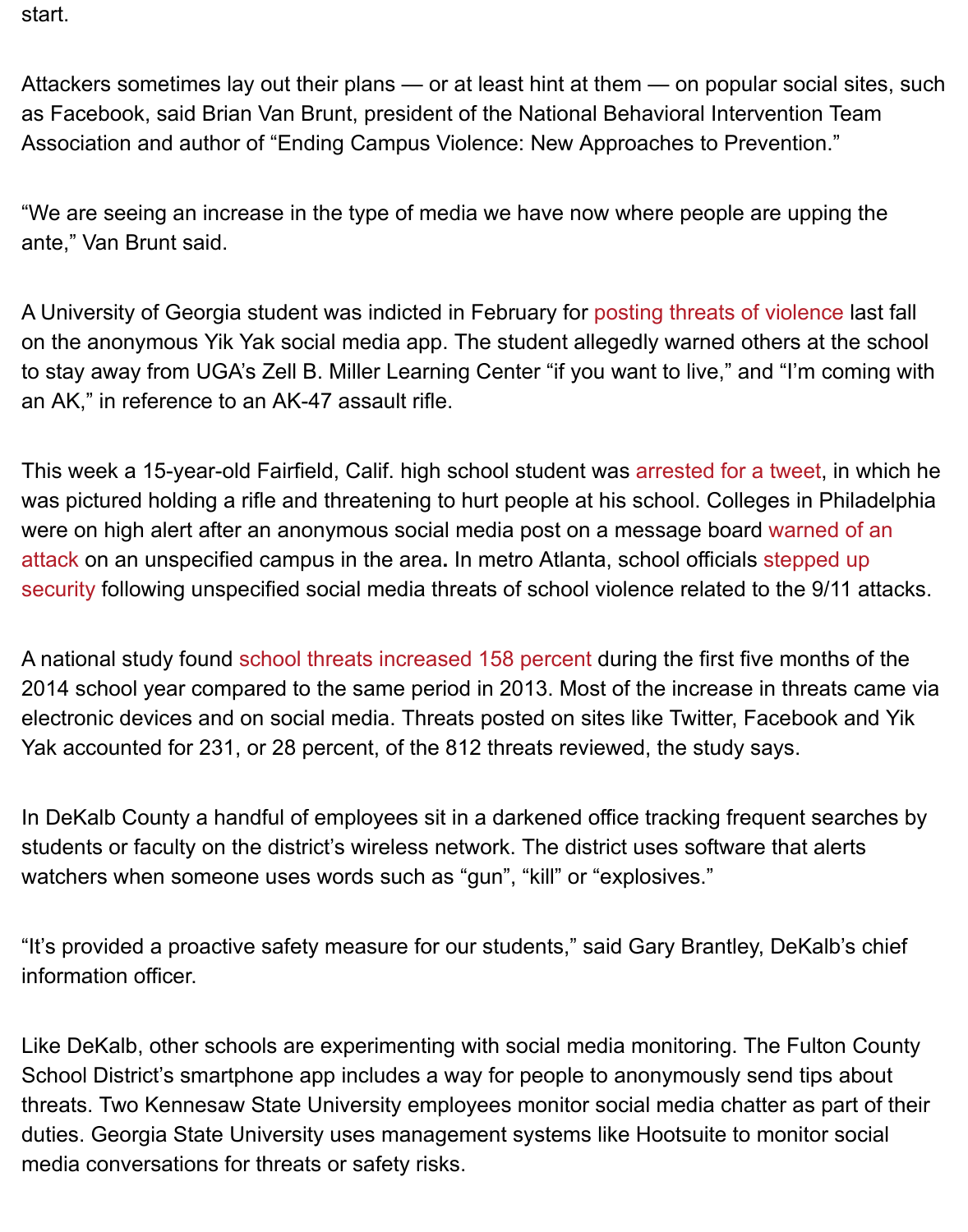"We are seeing an increase in the type of media we have now where people are upp ante," Van Brunt said.

A University of Georgia student was indicted in February for posting threats of violen on the anonymous Yik Yak social media app. The student allegedly warned others at to stay away from UGA's Zell B. Miller Learning Center "if you want to live," and "I'm an AK," in reference to an AK-47 assault rifle.

This week a 15-year-old Fairfield, Calif. high school student was arrested for a tweet was pictured holding a rifle and threatening to hurt people at his school. Colleges in I were on high alert after an anonymous social media post on a message board warne attack on an unspecified campus in the area. In metro Atlanta, school officials stepped security following unspecified social media threats of school violence related to the 9

A national study found school threats increased 158 percent duri[ng the first five mon](http://www.abc10.com/story/news/local/2015/10/06/fairfield-high-school-student-arrested-social-media-threat/73465784/) 2014 school year compared to the same period in 2013. Most of the increase in threat electronic devices and on social media. Threats posted on sites like Twitter, Faceboo [Yak accounted for 231, or 28 percent, of the 812 threats reviewed, the study says.](http://www.ajc.com/news/news/local/metro-schools-add-security-after-rumored-sept-11-t/nncTg/)

In DeKalb County a ha[ndful of employees sit in a darkened o](http://www.schoolsecurity.org/2015/02/study-finds-rapid-escalation-violent-school-threats/)ffice tracking frequent s students or faculty on the district's wireless network. The district uses software that a watchers when someone uses words such as "gun", "kill" or "explosives."

"It's provided a proactive safety measure for our students," said Gary Brantley, DeKa information officer.

Like DeKalb, other schools are experimenting with social media monitoring. The Fult School District's smartphone app includes a way for people to anonymously send tip threats. Two Kennesaw State University employees monitor social media chatter as duties. Georgia State University uses management systems like Hootsuite to monito media conversations for threats or safety risks.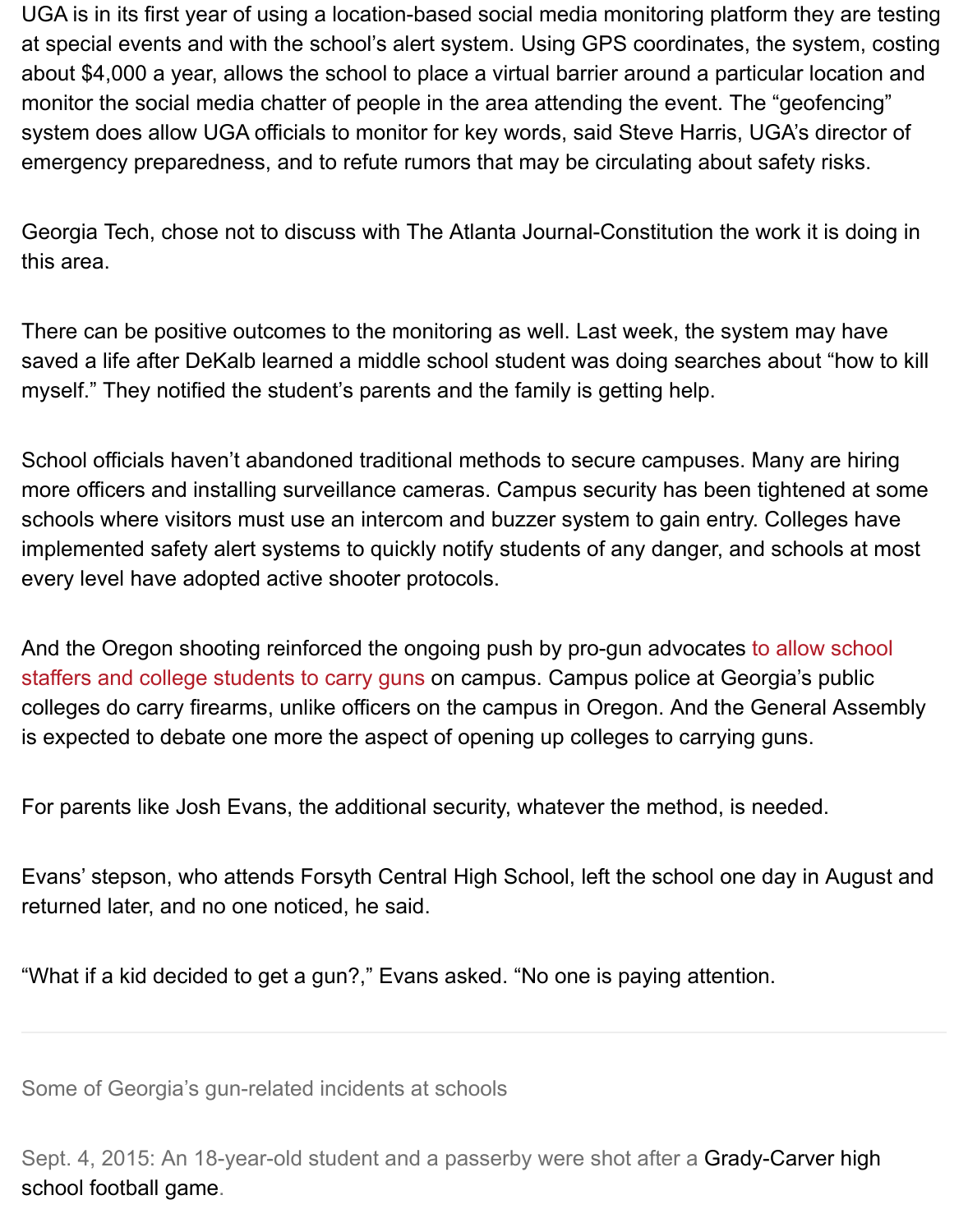emergency preparedness, and to refute rumors that may be circulating about safety risks.

Georgia Tech, chose not to discuss with The Atlanta Journal-Constitution the work it this area.

There can be positive outcomes to the monitoring as well. Last week, the system ma saved a life after DeKalb learned a middle school student was doing searches about myself." They notified the student's parents and the family is getting help.

School officials haven't abandoned traditional methods to secure campuses. Many a more officers and installing surveillance cameras. Campus security has been tighten schools where visitors must use an intercom and buzzer system to gain entry. Colleg implemented safety alert systems to quickly notify students of any danger, and school every level have adopted active shooter protocols.

And the Oregon shooting reinforced the ongoing push by pro-gun advocates to allow staffers and college students to carry guns on campus. Campus police at Georgia's public colleges do carry firearms, unlike officers on the campus in Oregon. And the Genera is expected to debate one more the aspect of opening up colleges to carrying guns.

[For parents like Josh Evans, the additional security, whatever the method, is needed.](http://atlantaforward.blog.ajc.com/2015/03/19/guns-on-college-campuses/)

Evans' stepson, who attends Forsyth Central High School, left the school one day in returned later, and no one noticed, he said.

"What if a kid decided to get a gun?," Evans asked. "No one is paying attention.

Some of Georgia's gun-related incidents at schools

Sept. 4, 2015: An 18-year-old student and a passerby were shot after a Grady-Carve school football game.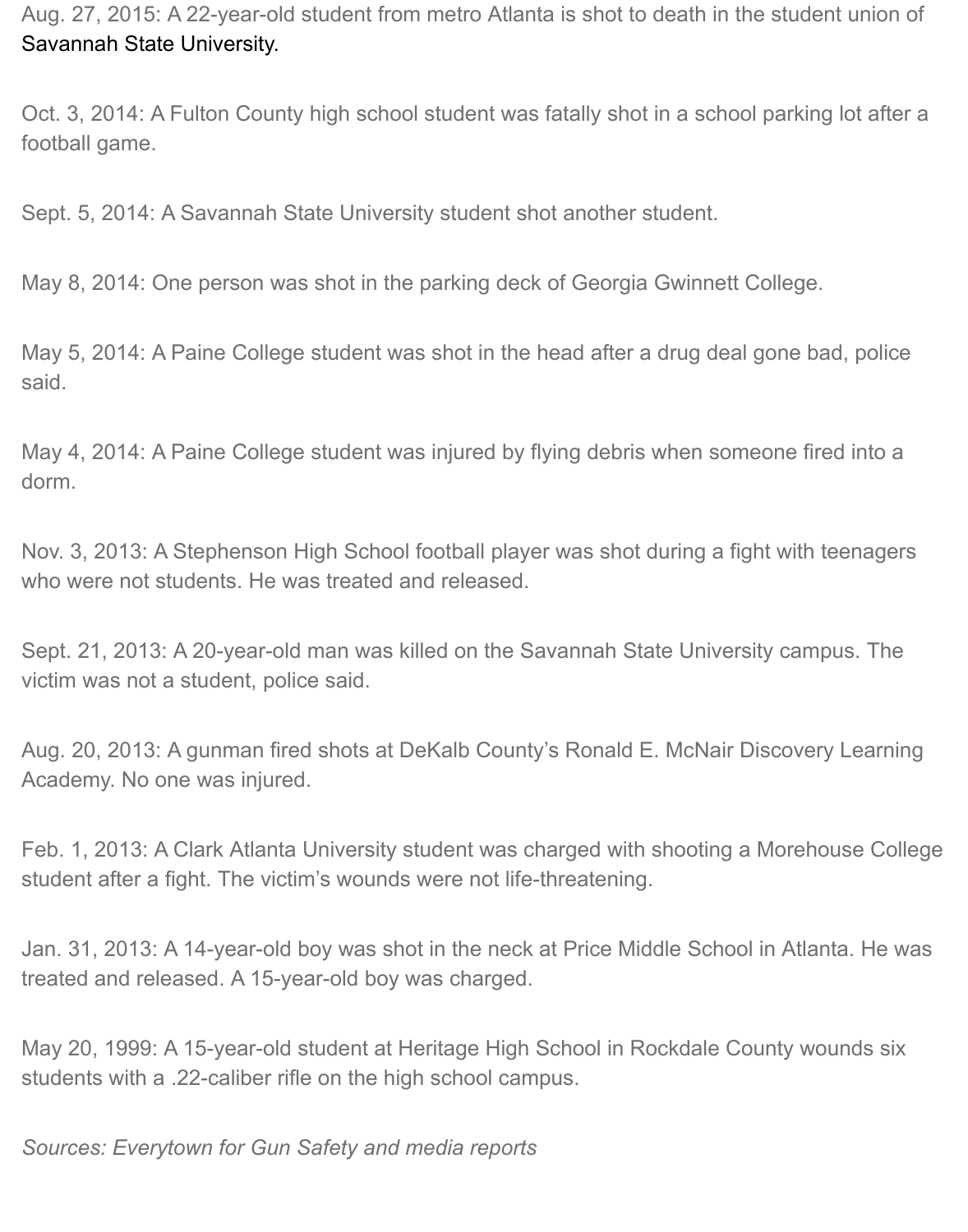[Sept. 5, 2014: A Savannah](http://www.ajc.com/news/news/campus-carry/nnStC/) State University student shot another student.

May 8, 2014: One person was shot in the parking deck of Georgia Gwinnett College.

May 5, 2014: A Paine College student was shot in the head after a drug deal gone bat said.

May 4, 2014: A Paine College student was injured by flying debris when someone fir dorm.

Nov. 3, 2013: A Stephenson High School football player was shot during a fight with who were not students. He was treated and released.

Sept. 21, 2013: A 20-year-old man was killed on the Savannah State University cam victim was not a student, police said.

Aug. 20, 2013: A gunman fired shots at DeKalb County's Ronald E. McNair Discover Academy. No one was injured.

Feb. 1, 2013: A Clark Atlanta University student was charged with shooting a Moreho student after a fight. The victim's wounds were not life-threatening.

Jan. 31, 2013: A 14-year-old boy was shot in the neck at Price Middle School in Atlar treated and released. A 15-year-old boy was charged.

May 20, 1999: A 15-year-old student at Heritage High School in Rockdale County wo students with a .22-caliber rifle on the high school campus.

*Sources: Everytown for Gun Safety and media reports*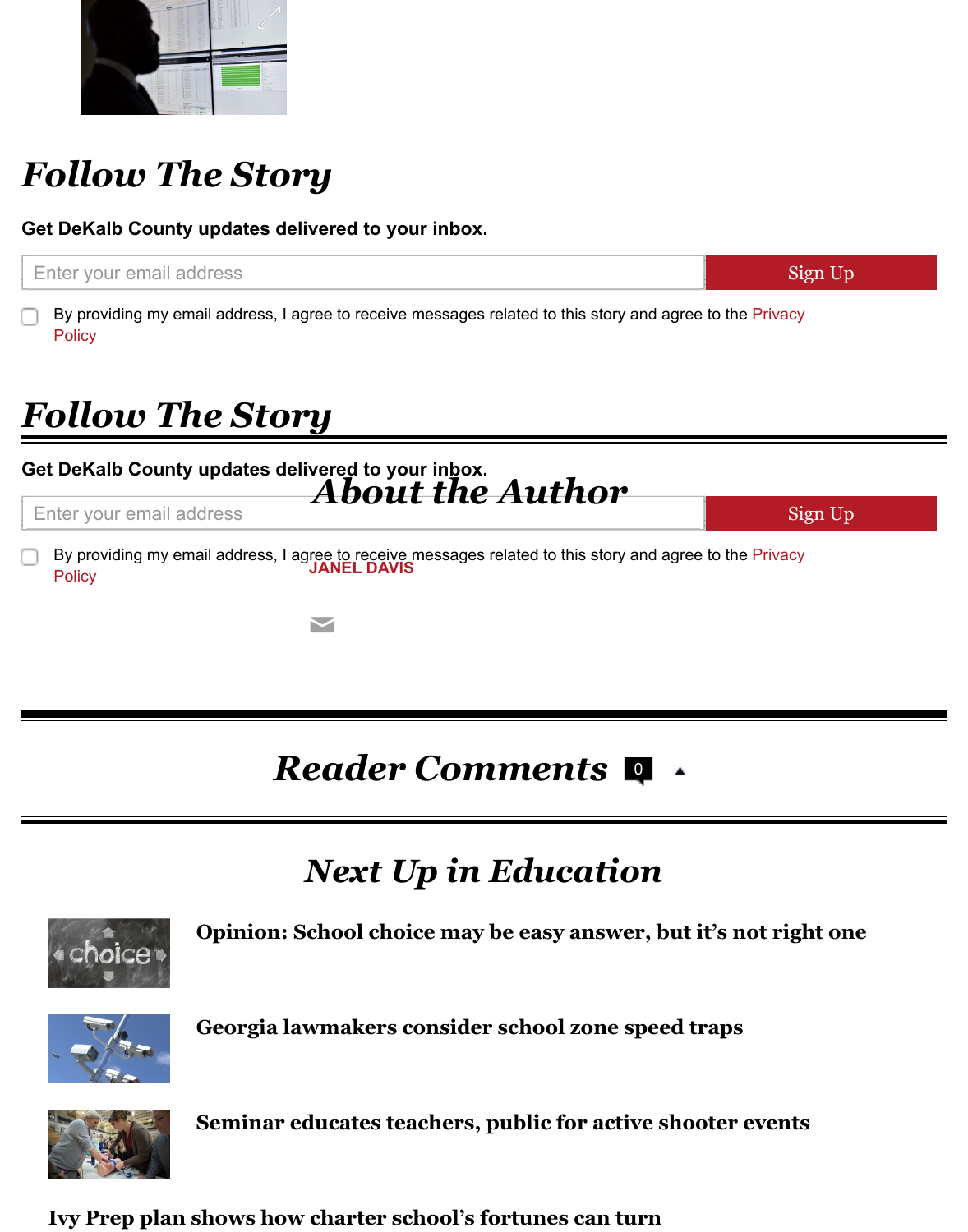### *Follow The Story*

#### **Get DeKalb County updates delivered to your inbox.**



By providing my email address, I agree to receive messages related to this story and agree to the Privacy **Policy** 

# *Follow The Story*

#### **Get DeKalb County updates delivered to your inbox.** *[About the Author](https://www.myajc.com/privacy_policy/)*

 $\blacktriangledown$ 

Enter your email address

Sign

Sign

By providing my email address, I agree to receive messages related to this story and agree to the Privacy **Policy JANEL DAVIS** 

## *[R](https://www.myajc.com/privacy_policy/)[ea](mailto:jhdavis@ajc.com)[der Comments](https://www.myajc.com/privacy_policy/)*  0

### *Next Up in Education*



**Opinion: School choice may be easy answer, but it's not right** 



**Georgia lawmakers consider school zone speed traps**



**Seminar educates teachers, public for active shooter events**

**[Ivy Prep pla](https://www.myajc.com/news/state--regional-education/georgia-lawmakers-consider-school-zone-speed-traps/SfS074lwiGweqSXSOQtVfM/)n shows how charter school's fortunes can turn**